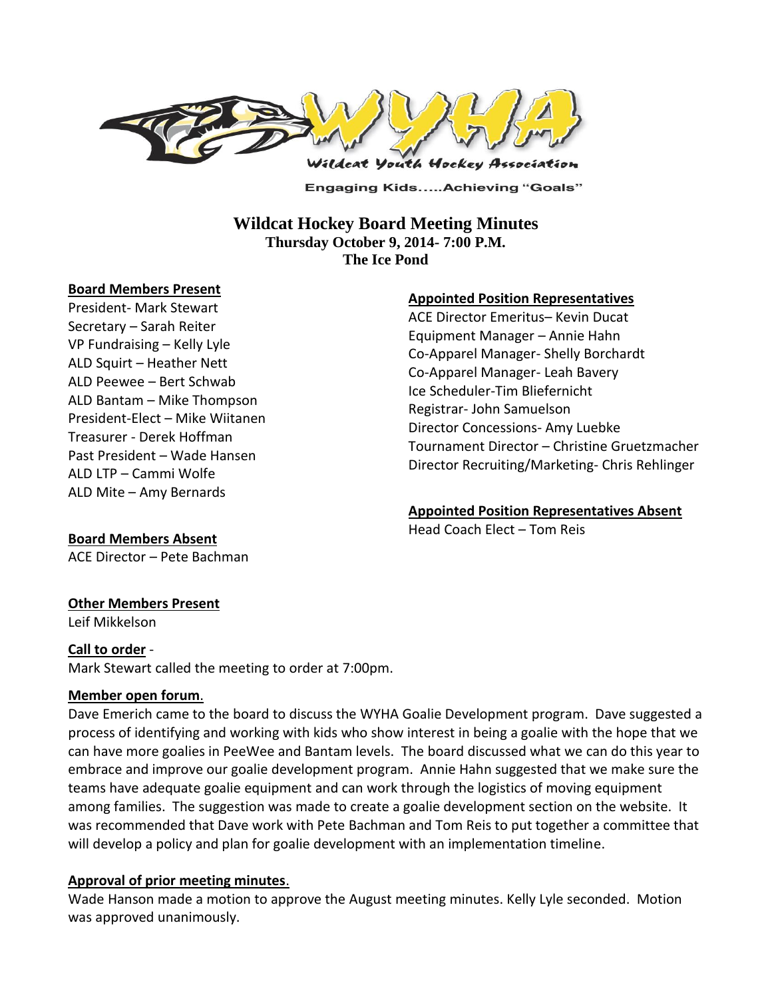

**Engaging Kids.....Achieving "Goals"** 

# **Wildcat Hockey Board Meeting Minutes Thursday October 9, 2014- 7:00 P.M. The Ice Pond**

#### **Board Members Present**

President- Mark Stewart Secretary – Sarah Reiter VP Fundraising – Kelly Lyle ALD Squirt – Heather Nett ALD Peewee – Bert Schwab ALD Bantam – Mike Thompson President-Elect – Mike Wiitanen Treasurer - Derek Hoffman Past President – Wade Hansen ALD LTP – Cammi Wolfe ALD Mite – Amy Bernards

### **Appointed Position Representatives**

ACE Director Emeritus– Kevin Ducat Equipment Manager – Annie Hahn Co-Apparel Manager- Shelly Borchardt Co-Apparel Manager- Leah Bavery Ice Scheduler-Tim Bliefernicht Registrar- John Samuelson Director Concessions- Amy Luebke Tournament Director – Christine Gruetzmacher Director Recruiting/Marketing- Chris Rehlinger

### **Appointed Position Representatives Absent**

Head Coach Elect – Tom Reis

### **Board Members Absent**

ACE Director – Pete Bachman

### **Other Members Present**

Leif Mikkelson

### **Call to order** -

Mark Stewart called the meeting to order at 7:00pm.

### **Member open forum**.

Dave Emerich came to the board to discuss the WYHA Goalie Development program. Dave suggested a process of identifying and working with kids who show interest in being a goalie with the hope that we can have more goalies in PeeWee and Bantam levels. The board discussed what we can do this year to embrace and improve our goalie development program. Annie Hahn suggested that we make sure the teams have adequate goalie equipment and can work through the logistics of moving equipment among families. The suggestion was made to create a goalie development section on the website. It was recommended that Dave work with Pete Bachman and Tom Reis to put together a committee that will develop a policy and plan for goalie development with an implementation timeline.

### **Approval of prior meeting minutes**.

Wade Hanson made a motion to approve the August meeting minutes. Kelly Lyle seconded. Motion was approved unanimously.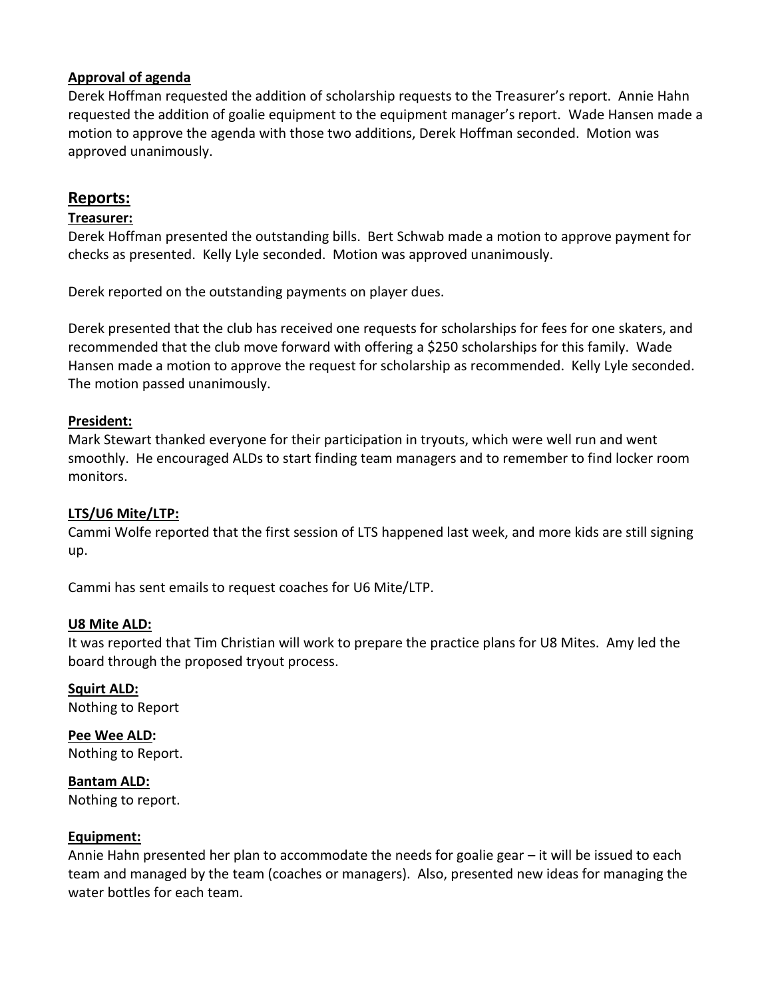## **Approval of agenda**

Derek Hoffman requested the addition of scholarship requests to the Treasurer's report. Annie Hahn requested the addition of goalie equipment to the equipment manager's report. Wade Hansen made a motion to approve the agenda with those two additions, Derek Hoffman seconded. Motion was approved unanimously.

# **Reports:**

### **Treasurer:**

Derek Hoffman presented the outstanding bills. Bert Schwab made a motion to approve payment for checks as presented. Kelly Lyle seconded. Motion was approved unanimously.

Derek reported on the outstanding payments on player dues.

Derek presented that the club has received one requests for scholarships for fees for one skaters, and recommended that the club move forward with offering a \$250 scholarships for this family. Wade Hansen made a motion to approve the request for scholarship as recommended. Kelly Lyle seconded. The motion passed unanimously.

### **President:**

Mark Stewart thanked everyone for their participation in tryouts, which were well run and went smoothly. He encouraged ALDs to start finding team managers and to remember to find locker room monitors.

# **LTS/U6 Mite/LTP:**

Cammi Wolfe reported that the first session of LTS happened last week, and more kids are still signing up.

Cammi has sent emails to request coaches for U6 Mite/LTP.

### **U8 Mite ALD:**

It was reported that Tim Christian will work to prepare the practice plans for U8 Mites. Amy led the board through the proposed tryout process.

**Squirt ALD:**  Nothing to Report

**Pee Wee ALD:**  Nothing to Report.

**Bantam ALD:**  Nothing to report.

### **Equipment:**

Annie Hahn presented her plan to accommodate the needs for goalie gear – it will be issued to each team and managed by the team (coaches or managers). Also, presented new ideas for managing the water bottles for each team.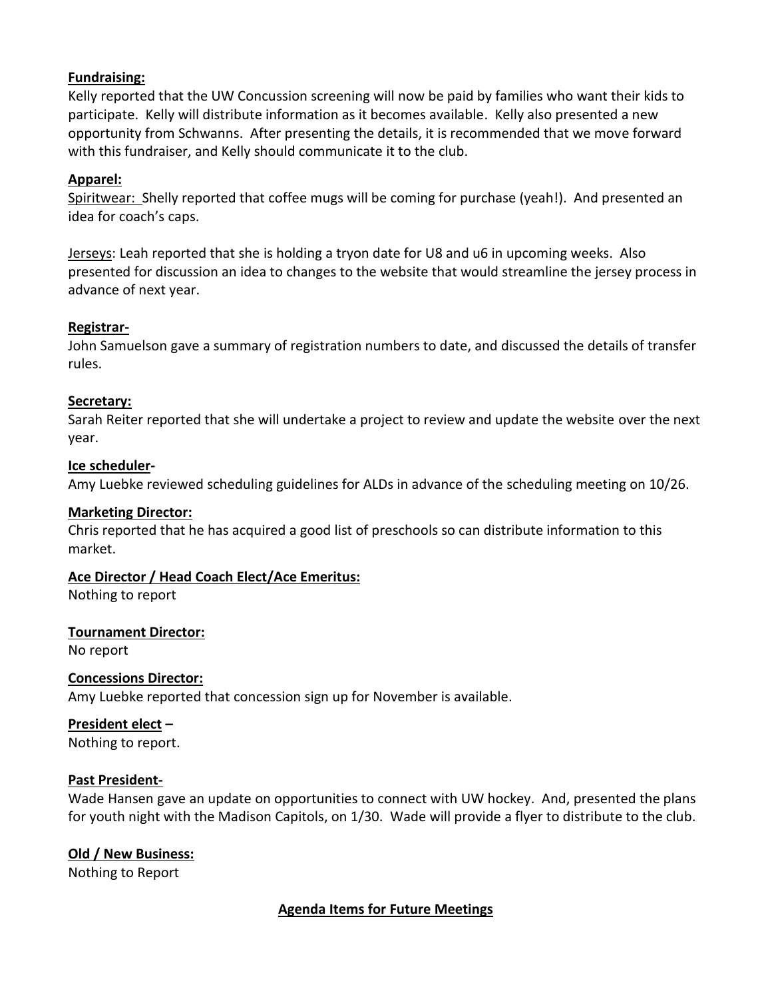### **Fundraising:**

Kelly reported that the UW Concussion screening will now be paid by families who want their kids to participate. Kelly will distribute information as it becomes available. Kelly also presented a new opportunity from Schwanns. After presenting the details, it is recommended that we move forward with this fundraiser, and Kelly should communicate it to the club.

## **Apparel:**

Spiritwear: Shelly reported that coffee mugs will be coming for purchase (yeah!). And presented an idea for coach's caps.

Jerseys: Leah reported that she is holding a tryon date for U8 and u6 in upcoming weeks. Also presented for discussion an idea to changes to the website that would streamline the jersey process in advance of next year.

### **Registrar-**

John Samuelson gave a summary of registration numbers to date, and discussed the details of transfer rules.

### **Secretary:**

Sarah Reiter reported that she will undertake a project to review and update the website over the next year.

### **Ice scheduler-**

Amy Luebke reviewed scheduling guidelines for ALDs in advance of the scheduling meeting on 10/26.

### **Marketing Director:**

Chris reported that he has acquired a good list of preschools so can distribute information to this market.

# **Ace Director / Head Coach Elect/Ace Emeritus:**

Nothing to report

### **Tournament Director:**

No report

### **Concessions Director:**

Amy Luebke reported that concession sign up for November is available.

# **President elect –**

Nothing to report.

### **Past President-**

Wade Hansen gave an update on opportunities to connect with UW hockey. And, presented the plans for youth night with the Madison Capitols, on 1/30. Wade will provide a flyer to distribute to the club.

# **Old / New Business:**

Nothing to Report

# **Agenda Items for Future Meetings**